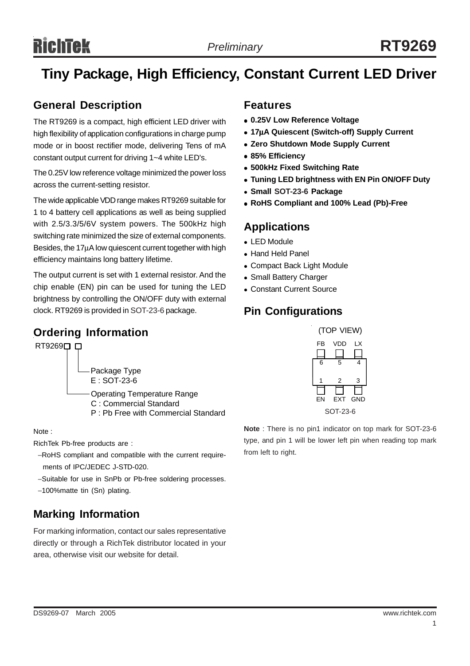# Richtek

## **Tiny Package, High Efficiency, Constant Current LED Driver**

#### **General Description**

The RT9269 is a compact, high efficient LED driver with high flexibility of application configurations in charge pump mode or in boost rectifier mode, delivering Tens of mA constant output current for driving 1~4 white LED's.

The 0.25V low reference voltage minimized the power loss across the current-setting resistor.

The wide applicable VDD range makes RT9269 suitable for 1 to 4 battery cell applications as well as being supplied with 2.5/3.3/5/6V system powers. The 500kHz high switching rate minimized the size of external components. Besides, the 17µA low quiescent current together with high efficiency maintains long battery lifetime.

The output current is set with 1 external resistor. And the chip enable (EN) pin can be used for tuning the LED brightness by controlling the ON/OFF duty with external clock. RT9269 is provided in SOT-23-6 package.

#### **Ordering Information**



Note :

RichTek Pb-free products are :

- −RoHS compliant and compatible with the current require ments of IPC/JEDEC J-STD-020.
- −Suitable for use in SnPb or Pb-free soldering processes.

```
−100%matte tin (Sn) plating.
```
#### **Marking Information**

For marking information, contact our sales representative directly or through a RichTek distributor located in your area, otherwise visit our website for detail.

#### **Features**

- $\bullet$  **0.25V Low Reference Voltage**
- <sup>z</sup> **17**µ**A Quiescent (Switch-off) Supply Current**
- **Zero Shutdown Mode Supply Current**
- <sup>z</sup> **85% Efficiency**
- **500kHz Fixed Switching Rate**
- **Tuning LED brightness with EN Pin ON/OFF Duty**
- <sup>z</sup> **Small SOT-23-6 Package**
- <sup>z</sup> **RoHS Compliant and 100% Lead (Pb)-Free**

#### **Applications**

- LED Module
- Hand Held Panel
- Compact Back Light Module
- Small Battery Charger
- Constant Current Source

#### **Pin Configurations**



**Note** : There is no pin1 indicator on top mark for SOT-23-6 type, and pin 1 will be lower left pin when reading top mark from left to right.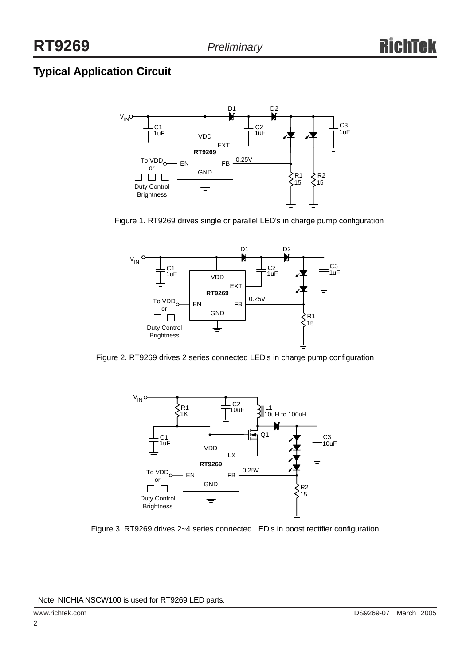### **Typical Application Circuit**



Figure 1. RT9269 drives single or parallel LED's in charge pump configuration



Figure 2. RT9269 drives 2 series connected LED's in charge pump configuration



Figure 3. RT9269 drives 2~4 series connected LED's in boost rectifier configuration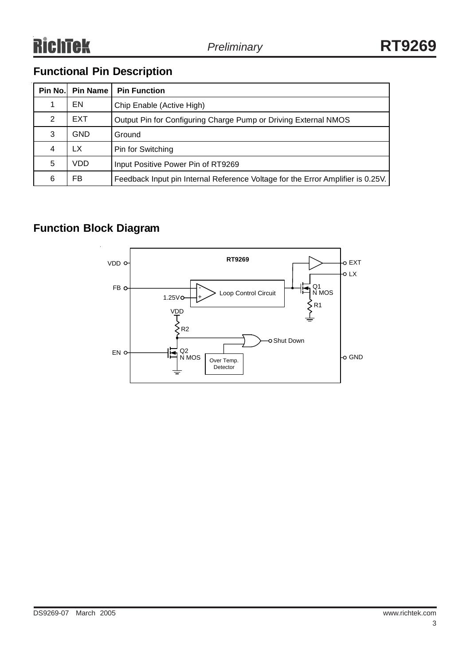### **Functional Pin Description**

| Pin No. | <b>Pin Name</b> | <b>Pin Function</b>                                                             |
|---------|-----------------|---------------------------------------------------------------------------------|
|         | EN              | Chip Enable (Active High)                                                       |
| 2       | <b>EXT</b>      | Output Pin for Configuring Charge Pump or Driving External NMOS                 |
| 3       | GND             | Ground                                                                          |
| 4       | LX              | Pin for Switching                                                               |
| 5       | VDD             | Input Positive Power Pin of RT9269                                              |
| 6       | FB              | Feedback Input pin Internal Reference Voltage for the Error Amplifier is 0.25V. |

#### **Function Block Diagram**

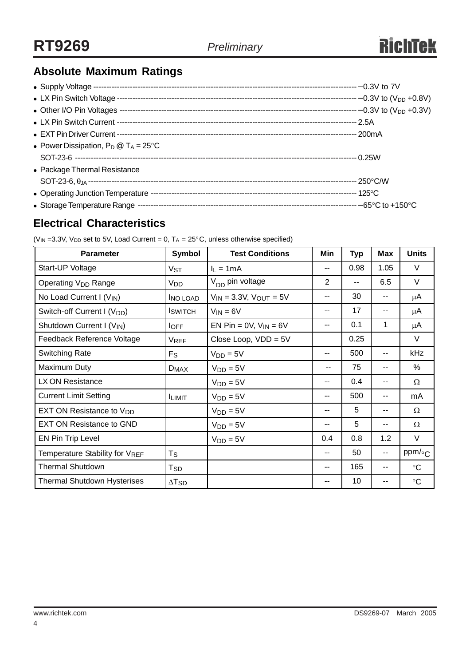### **Absolute Maximum Ratings**

| • Power Dissipation, $P_D @ T_A = 25^{\circ}C$ |  |
|------------------------------------------------|--|
|                                                |  |
| • Package Thermal Resistance                   |  |
|                                                |  |
|                                                |  |
|                                                |  |

#### **Electrical Characteristics**

| <b>Parameter</b>                        | Symbol                   | <b>Test Conditions</b>           | Min           | <b>Typ</b> | <b>Max</b> | <b>Units</b>    |
|-----------------------------------------|--------------------------|----------------------------------|---------------|------------|------------|-----------------|
| Start-UP Voltage                        | $V_{ST}$                 | $I_L = 1mA$                      | $- -$         | 0.98       | 1.05       | V               |
| Operating V <sub>DD</sub> Range         | V <sub>DD</sub>          | V <sub>DD</sub> pin voltage      | 2             | --         | 6.5        | V               |
| No Load Current I $(V_{IN})$            | <b>INO LOAD</b>          | $V_{IN} = 3.3V$ , $V_{OUT} = 5V$ | $\sim$ $\sim$ | 30         | --         | μA              |
| Switch-off Current I (V <sub>DD</sub> ) | <b>I</b> SWITCH          | $V_{IN} = 6V$                    | --            | 17         | --         | μA              |
| Shutdown Current I (V <sub>IN</sub> )   | $I_{\text{OFF}}$         | EN Pin = $0V$ , $V_{IN} = 6V$    | $- -$         | 0.1        | 1          | $\mu$ A         |
| Feedback Reference Voltage              | <b>VREF</b>              | Close Loop, $VDD = 5V$           |               | 0.25       |            | V               |
| <b>Switching Rate</b>                   | $F_S$                    | $V_{DD} = 5V$                    | --            | 500        | --         | kHz             |
| Maximum Duty                            | $D_{MAX}$                | $V_{DD} = 5V$                    |               | 75         | --         | $\%$            |
| LX ON Resistance                        |                          | $V_{DD} = 5V$                    | --            | 0.4        | --         | $\Omega$        |
| <b>Current Limit Setting</b>            | <b>ILIMIT</b>            | $V_{DD} = 5V$                    | $- -$         | 500        | --         | mA              |
| EXT ON Resistance to V <sub>DD</sub>    |                          | $V_{DD} = 5V$                    | $- -$         | 5          | --         | Ω               |
| <b>EXT ON Resistance to GND</b>         |                          | $V_{DD} = 5V$                    | --            | 5          | --         | Ω               |
| <b>EN Pin Trip Level</b>                |                          | $V_{DD} = 5V$                    | 0.4           | 0.8        | 1.2        | V               |
| Temperature Stability for VREF          | $T_{\rm S}$              |                                  | $- -$         | 50         | ۰.         | ppm/ $\circ$ C  |
| <b>Thermal Shutdown</b>                 | T <sub>SD</sub>          |                                  | $-$           | 165        | $- -$      | $\rm ^{\circ}C$ |
| <b>Thermal Shutdown Hysterises</b>      | $\Delta$ T <sub>SD</sub> |                                  | --            | 10         | --         | $\circ$ C       |

( $V_{IN}$  =3.3V,  $V_{DD}$  set to 5V, Load Current = 0,  $T_A$  = 25°C, unless otherwise specified)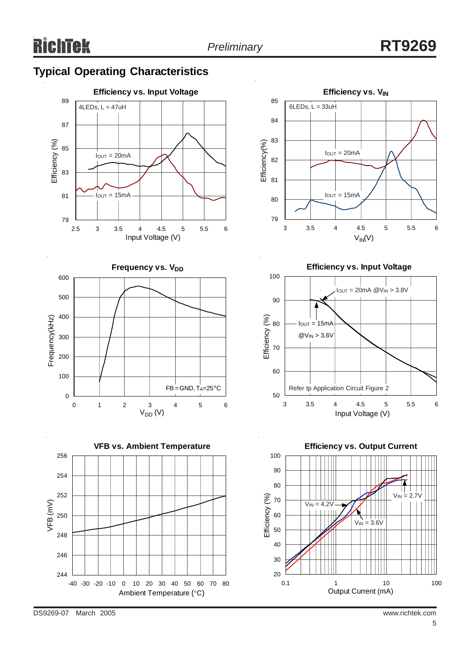### **Typical Operating Characteristics**













DS9269-07 March 2005 www.richtek.com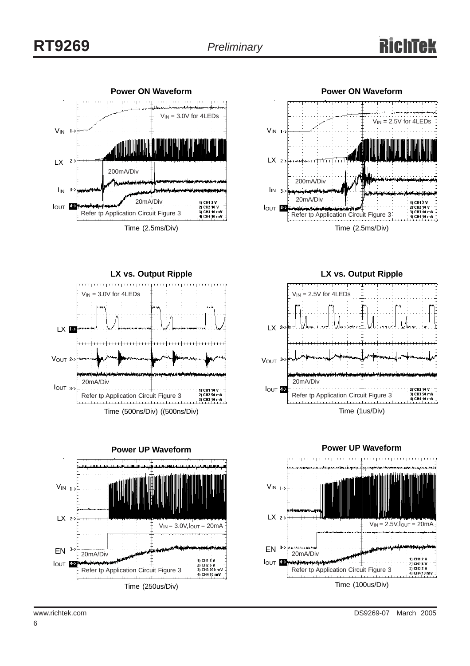



**LX vs. Output Ripple**  $V_{IN} = 3.0V$  for 4LEDs LX<sup>12</sup> VOUT<sub>2-></sub> وللاعتطا 20mA/Div  $I_{OUT}$  3-> 1) CH1 10 V Refer tp Application Circuit Figure 3 

Time (500ns/Div) ((500ns/Div)



**LX vs. Output Ripple**





6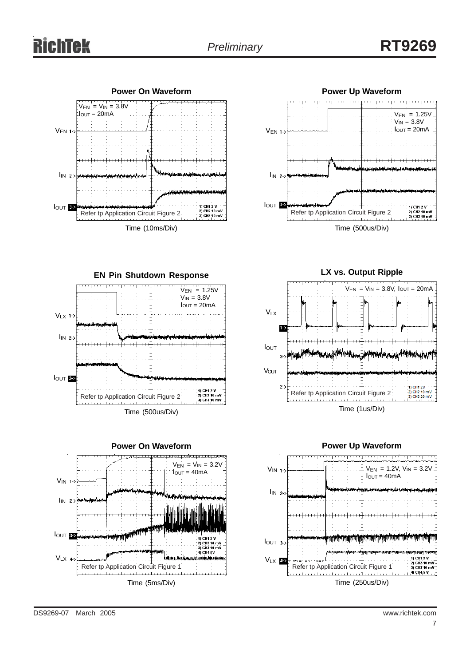## *Preliminary* **RT9269**





**EN Pin Shutdown Response**  $V_{EN} = 1.25V$  $V_{IN} = 3.8V$  $I<sub>OUT</sub> = 20mA$  $V_{LX}$  1->  $\mathsf{I}_{\mathsf{IN}}$  2-> IOUT<sup>83</sup> 1) CH1 1) CH1 2 V<br>2) CH2 10 mV<br>3) CH3 10 mV Refer tp Application Circuit Figure 2 Time (500us/Div)



**LX vs. Output Ripple**





DS9269-07 March 2005 www.richtek.com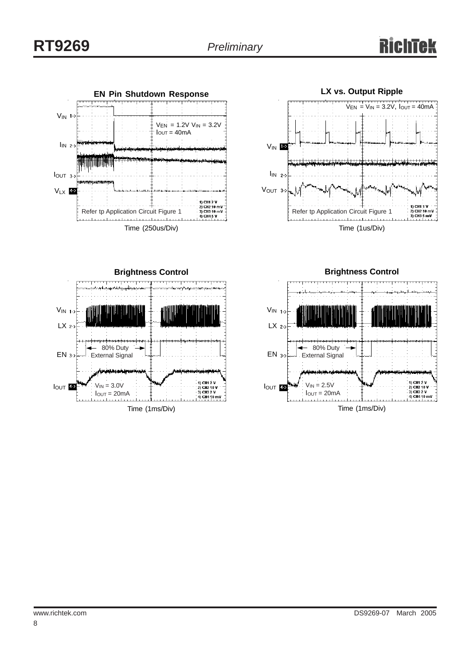